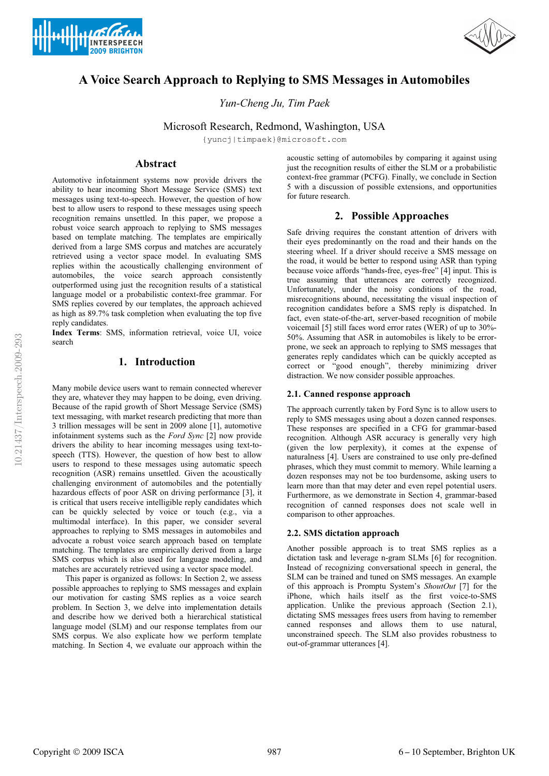



# **A Voice Search Approach to Replying to SMS Messages in Automobiles**

*Yun-Cheng Ju, Tim Paek*

Microsoft Research, Redmond, Washington, USA

{yuncj|timpaek}@microsoft.com

# **Abstract**

Automotive infotainment systems now provide drivers the ability to hear incoming Short Message Service (SMS) text messages using text-to-speech. However, the question of how best to allow users to respond to these messages using speech recognition remains unsettled. In this paper, we propose a robust voice search approach to replying to SMS messages based on template matching. The templates are empirically derived from a large SMS corpus and matches are accurately retrieved using a vector space model. In evaluating SMS replies within the acoustically challenging environment of automobiles, the voice search approach consistently outperformed using just the recognition results of a statistical language model or a probabilistic context-free grammar. For SMS replies covered by our templates, the approach achieved as high as 89.7% task completion when evaluating the top five reply candidates.

**Index Terms**: SMS, information retrieval, voice UI, voice search

# **1. Introduction**

Many mobile device users want to remain connected wherever they are, whatever they may happen to be doing, even driving. Because of the rapid growth of Short Message Service (SMS) text messaging, with market research predicting that more than 3 trillion messages will be sent in 2009 alone [1], automotive infotainment systems such as the *Ford Sync* [2] now provide drivers the ability to hear incoming messages using text-tospeech (TTS). However, the question of how best to allow users to respond to these messages using automatic speech recognition (ASR) remains unsettled. Given the acoustically challenging environment of automobiles and the potentially hazardous effects of poor ASR on driving performance [3], it is critical that users receive intelligible reply candidates which can be quickly selected by voice or touch (e.g., via a multimodal interface). In this paper, we consider several approaches to replying to SMS messages in automobiles and advocate a robust voice search approach based on template matching. The templates are empirically derived from a large SMS corpus which is also used for language modeling, and matches are accurately retrieved using a vector space model.

This paper is organized as follows: In Section 2, we assess possible approaches to replying to SMS messages and explain our motivation for casting SMS replies as a voice search problem. In Section 3, we delve into implementation details and describe how we derived both a hierarchical statistical language model (SLM) and our response templates from our SMS corpus. We also explicate how we perform template matching. In Section 4, we evaluate our approach within the

acoustic setting of automobiles by comparing it against using just the recognition results of either the SLM or a probabilistic context-free grammar (PCFG). Finally, we conclude in Section 5 with a discussion of possible extensions, and opportunities for future research.

# **2. Possible Approaches**

Safe driving requires the constant attention of drivers with their eyes predominantly on the road and their hands on the steering wheel. If a driver should receive a SMS message on the road, it would be better to respond using ASR than typing because voice affords "hands-free, eyes-free" [4] input. This is true assuming that utterances are correctly recognized. Unfortunately, under the noisy conditions of the road, misrecognitions abound, necessitating the visual inspection of recognition candidates before a SMS reply is dispatched. In fact, even state-of-the-art, server-based recognition of mobile voicemail [5] still faces word error rates (WER) of up to 30%- 50%. Assuming that ASR in automobiles is likely to be errorprone, we seek an approach to replying to SMS messages that generates reply candidates which can be quickly accepted as correct or "good enough", thereby minimizing driver distraction. We now consider possible approaches.

#### **2.1. Canned response approach**

The approach currently taken by Ford Sync is to allow users to reply to SMS messages using about a dozen canned responses. These responses are specified in a CFG for grammar-based recognition. Although ASR accuracy is generally very high (given the low perplexity), it comes at the expense of naturalness [4]. Users are constrained to use only pre-defined phrases, which they must commit to memory. While learning a dozen responses may not be too burdensome, asking users to learn more than that may deter and even repel potential users. Furthermore, as we demonstrate in Section 4, grammar-based recognition of canned responses does not scale well in comparison to other approaches.

### **2.2. SMS dictation approach**

Another possible approach is to treat SMS replies as a dictation task and leverage n-gram SLMs [6] for recognition. Instead of recognizing conversational speech in general, the SLM can be trained and tuned on SMS messages. An example of this approach is Promptu System's *ShoutOut* [7] for the iPhone, which hails itself as the first voice-to-SMS application. Unlike the previous approach (Section 2.1), dictating SMS messages frees users from having to remember canned responses and allows them to use natural, unconstrained speech. The SLM also provides robustness to out-of-grammar utterances [4].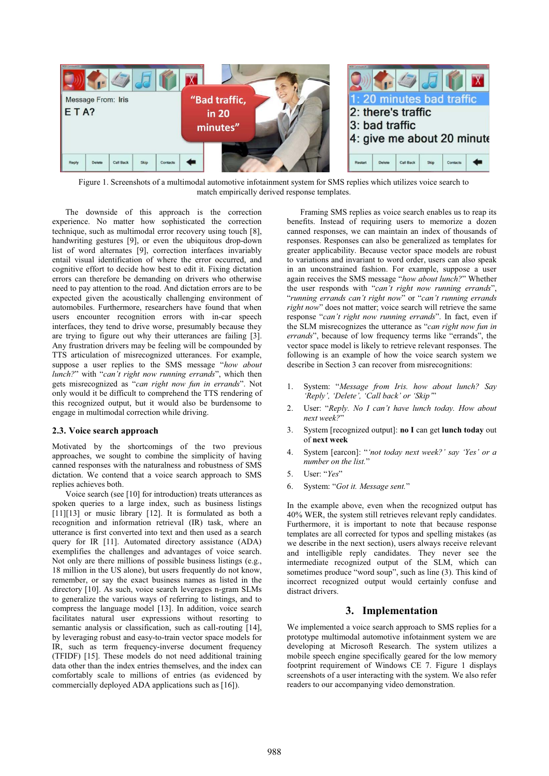

Figure 1. Screenshots of a multimodal automotive infotainment system for SMS replies which utilizes voice search to match empirically derived response templates.

The downside of this approach is the correction experience. No matter how sophisticated the correction technique, such as multimodal error recovery using touch [8], handwriting gestures [9], or even the ubiquitous drop-down list of word alternates [9], correction interfaces invariably entail visual identification of where the error occurred, and cognitive effort to decide how best to edit it. Fixing dictation errors can therefore be demanding on drivers who otherwise need to pay attention to the road. And dictation errors are to be expected given the acoustically challenging environment of automobiles. Furthermore, researchers have found that when users encounter recognition errors with in-car speech interfaces, they tend to drive worse, presumably because they are trying to figure out why their utterances are failing [3]. Any frustration drivers may be feeling will be compounded by TTS articulation of misrecognized utterances. For example, suppose a user replies to the SMS message "*how about lunch?*" with "*can't right now running errands*", which then gets misrecognized as "*can right now fun in errands*". Not only would it be difficult to comprehend the TTS rendering of this recognized output, but it would also be burdensome to engage in multimodal correction while driving.

### **2.3. Voice search approach**

Motivated by the shortcomings of the two previous approaches, we sought to combine the simplicity of having canned responses with the naturalness and robustness of SMS dictation. We contend that a voice search approach to SMS replies achieves both.

Voice search (see [10] for introduction) treats utterances as spoken queries to a large index, such as business listings [11][13] or music library [12]. It is formulated as both a recognition and information retrieval (IR) task, where an utterance is first converted into text and then used as a search query for IR [11]. Automated directory assistance (ADA) exemplifies the challenges and advantages of voice search. Not only are there millions of possible business listings (e.g., 18 million in the US alone), but users frequently do not know, remember, or say the exact business names as listed in the directory [10]. As such, voice search leverages n-gram SLMs to generalize the various ways of referring to listings, and to compress the language model [13]. In addition, voice search facilitates natural user expressions without resorting to semantic analysis or classification, such as call-routing [14], by leveraging robust and easy-to-train vector space models for IR, such as term frequency-inverse document frequency (TFIDF) [15]. These models do not need additional training data other than the index entries themselves, and the index can comfortably scale to millions of entries (as evidenced by commercially deployed ADA applications such as [16]).

Framing SMS replies as voice search enables us to reap its benefits. Instead of requiring users to memorize a dozen canned responses, we can maintain an index of thousands of responses. Responses can also be generalized as templates for greater applicability. Because vector space models are robust to variations and invariant to word order, users can also speak in an unconstrained fashion. For example, suppose a user again receives the SMS message "*how about lunch?*" Whether the user responds with "*can't right now running errands*", "*running errands can't right now*" or "*can't running errands right now*" does not matter; voice search will retrieve the same response "*can't right now running errands*". In fact, even if the SLM misrecognizes the utterance as "*can right now fun in errands*", because of low frequency terms like "errands", the vector space model is likely to retrieve relevant responses. The following is an example of how the voice search system we describe in Section 3 can recover from misrecognitions:

- 1. System: "*Message from Iris. how about lunch? Say 'Reply', 'Delete', 'Call back' or 'Skip'*"
- 2. User: "*Reply. No I can't have lunch today. How about next week?*"
- 3. System [recognized output]: **no I** can get **lunch today** out of **next week**
- 4. System [earcon]: "*'not today next week?' say 'Yes' or a number on the list.*"
- 5. User: "*Yes*"
- 6. System: "*Got it. Message sent.*"

In the example above, even when the recognized output has 40% WER, the system still retrieves relevant reply candidates. Furthermore, it is important to note that because response templates are all corrected for typos and spelling mistakes (as we describe in the next section), users always receive relevant and intelligible reply candidates. They never see the intermediate recognized output of the SLM, which can sometimes produce "word soup", such as line (3). This kind of incorrect recognized output would certainly confuse and distract drivers.

# **3. Implementation**

We implemented a voice search approach to SMS replies for a prototype multimodal automotive infotainment system we are developing at Microsoft Research. The system utilizes a mobile speech engine specifically geared for the low memory footprint requirement of Windows CE 7. Figure 1 displays screenshots of a user interacting with the system. We also refer readers to our accompanying video demonstration.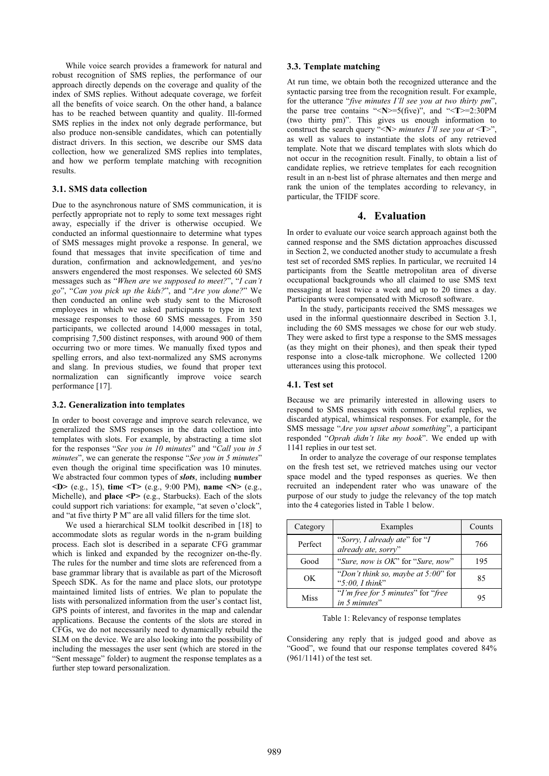While voice search provides a framework for natural and robust recognition of SMS replies, the performance of our approach directly depends on the coverage and quality of the index of SMS replies. Without adequate coverage, we forfeit all the benefits of voice search. On the other hand, a balance has to be reached between quantity and quality. Ill-formed SMS replies in the index not only degrade performance, but also produce non-sensible candidates, which can potentially distract drivers. In this section, we describe our SMS data collection, how we generalized SMS replies into templates, and how we perform template matching with recognition results.

# **3.1. SMS data collection**

Due to the asynchronous nature of SMS communication, it is perfectly appropriate not to reply to some text messages right away, especially if the driver is otherwise occupied. We conducted an informal questionnaire to determine what types of SMS messages might provoke a response. In general, we found that messages that invite specification of time and duration, confirmation and acknowledgement, and yes/no answers engendered the most responses. We selected 60 SMS messages such as "*When are we supposed to meet?*", "*I can't go*", "*Can you pick up the kids?*", and "*Are you done?*" We then conducted an online web study sent to the Microsoft employees in which we asked participants to type in text message responses to those 60 SMS messages. From 350 participants, we collected around 14,000 messages in total, comprising 7,500 distinct responses, with around 900 of them occurring two or more times. We manually fixed typos and spelling errors, and also text-normalized any SMS acronyms and slang. In previous studies, we found that proper text normalization can significantly improve voice search performance [17].

#### **3.2. Generalization into templates**

In order to boost coverage and improve search relevance, we generalized the SMS responses in the data collection into templates with slots. For example, by abstracting a time slot for the responses "*See you in 10 minutes*" and "*Call you in 5 minutes*", we can generate the response "*See you in 5 minutes*" even though the original time specification was 10 minutes. We abstracted four common types of *slots*, including **number <D>** (e.g., 15), **time <T>** (e.g., 9:00 PM), **name <N>** (e.g., Michelle), and **place <P>** (e.g., Starbucks). Each of the slots could support rich variations: for example, "at seven o'clock", and "at five thirty P M" are all valid fillers for the time slot.

We used a hierarchical SLM toolkit described in [18] to accommodate slots as regular words in the n-gram building process. Each slot is described in a separate CFG grammar which is linked and expanded by the recognizer on-the-fly. The rules for the number and time slots are referenced from a base grammar library that is available as part of the Microsoft Speech SDK. As for the name and place slots, our prototype maintained limited lists of entries. We plan to populate the lists with personalized information from the user's contact list, GPS points of interest, and favorites in the map and calendar applications. Because the contents of the slots are stored in CFGs, we do not necessarily need to dynamically rebuild the SLM on the device. We are also looking into the possibility of including the messages the user sent (which are stored in the "Sent message" folder) to augment the response templates as a further step toward personalization.

#### **3.3. Template matching**

At run time, we obtain both the recognized utterance and the syntactic parsing tree from the recognition result. For example, for the utterance "*five minutes I'll see you at two thirty pm*", the parse tree contains "<**N**>=5(five)", and "<**T**>=2:30PM (two thirty pm)". This gives us enough information to construct the search query "< $N$ > *minutes I'll see you at* < $T$ >" as well as values to instantiate the slots of any retrieved template. Note that we discard templates with slots which do not occur in the recognition result. Finally, to obtain a list of candidate replies, we retrieve templates for each recognition result in an n-best list of phrase alternates and then merge and rank the union of the templates according to relevancy, in particular, the TFIDF score.

# **4. Evaluation**

In order to evaluate our voice search approach against both the canned response and the SMS dictation approaches discussed in Section 2, we conducted another study to accumulate a fresh test set of recorded SMS replies. In particular, we recruited 14 participants from the Seattle metropolitan area of diverse occupational backgrounds who all claimed to use SMS text messaging at least twice a week and up to 20 times a day. Participants were compensated with Microsoft software.

In the study, participants received the SMS messages we used in the informal questionnaire described in Section 3.1, including the 60 SMS messages we chose for our web study. They were asked to first type a response to the SMS messages (as they might on their phones), and then speak their typed response into a close-talk microphone. We collected 1200 utterances using this protocol.

#### **4.1. Test set**

Because we are primarily interested in allowing users to respond to SMS messages with common, useful replies, we discarded atypical, whimsical responses. For example, for the SMS message "*Are you upset about something*", a participant responded "*Oprah didn't like my book*". We ended up with 1141 replies in our test set.

In order to analyze the coverage of our response templates on the fresh test set, we retrieved matches using our vector space model and the typed responses as queries. We then recruited an independent rater who was unaware of the purpose of our study to judge the relevancy of the top match into the 4 categories listed in Table 1 below.

| Category | Examples                                                      | Counts |
|----------|---------------------------------------------------------------|--------|
| Perfect  | "Sorry, I already ate" for "I<br>already ate, sorry"          | 766    |
| Good     | "Sure, now is OK" for "Sure, now"                             | 195    |
| OK       | "Don't think so, maybe at $5:00$ " for<br>" $5:00$ , I think" | 85     |
| Miss     | "I'm free for 5 minutes" for "free"<br>in 5 minutes"          | 95     |

Table 1: Relevancy of response templates

Considering any reply that is judged good and above as "Good", we found that our response templates covered 84% (961/1141) of the test set.